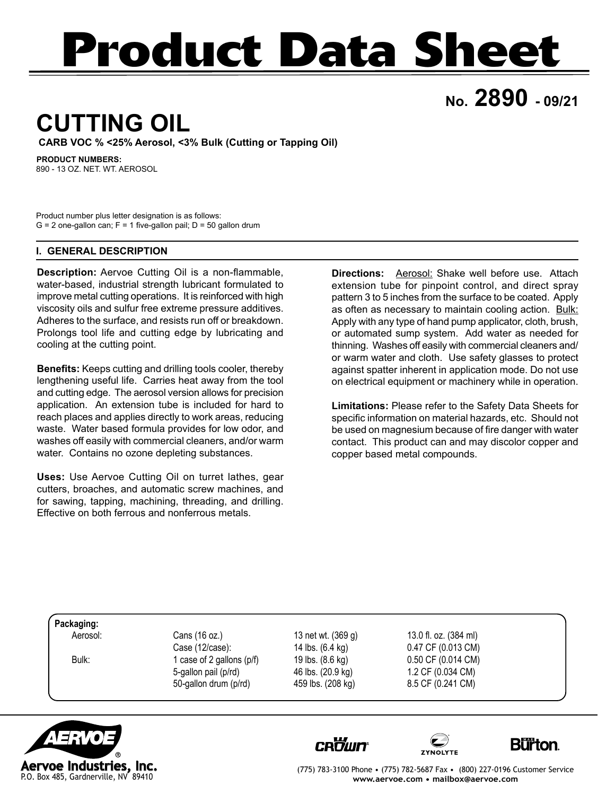# **Product Data Sheet**

**No. 2890 - 09/21**

## **CUTTING OIL**

**CARB VOC % <25% Aerosol, <3% Bulk (Cutting or Tapping Oil)**

**PRODUCT NUMBERS:**

890 - 13 OZ. NET. WT. AEROSOL

Product number plus letter designation is as follows:  $G = 2$  one-gallon can;  $F = 1$  five-gallon pail;  $D = 50$  gallon drum

### **I. GENERAL DESCRIPTION**

**Description:** Aervoe Cutting Oil is a non-flammable, water-based, industrial strength lubricant formulated to improve metal cutting operations. It is reinforced with high viscosity oils and sulfur free extreme pressure additives. Adheres to the surface, and resists run off or breakdown. Prolongs tool life and cutting edge by lubricating and cooling at the cutting point.

**Benefits:** Keeps cutting and drilling tools cooler, thereby lengthening useful life. Carries heat away from the tool and cutting edge. The aerosol version allows for precision application. An extension tube is included for hard to reach places and applies directly to work areas, reducing waste. Water based formula provides for low odor, and washes off easily with commercial cleaners, and/or warm water. Contains no ozone depleting substances.

**Uses:** Use Aervoe Cutting Oil on turret lathes, gear cutters, broaches, and automatic screw machines, and for sawing, tapping, machining, threading, and drilling. Effective on both ferrous and nonferrous metals.

**Directions:** Aerosol: Shake well before use. Attach extension tube for pinpoint control, and direct spray pattern 3 to 5 inches from the surface to be coated. Apply as often as necessary to maintain cooling action. Bulk: Apply with any type of hand pump applicator, cloth, brush, or automated sump system. Add water as needed for thinning. Washes off easily with commercial cleaners and/ or warm water and cloth. Use safety glasses to protect against spatter inherent in application mode. Do not use on electrical equipment or machinery while in operation.

**Limitations:** Please refer to the Safety Data Sheets for specific information on material hazards, etc. Should not be used on magnesium because of fire danger with water contact. This product can and may discolor copper and copper based metal compounds.

**Packaging:**

Aerosol: Cans (16 oz.) 13 net wt. (369 g) 13.0 fl. oz. (384 ml) Case (12/case): 14 lbs. (6.4 kg) 0.47 CF (0.013 CM) Bulk: 1 case of 2 gallons (p/f) 19 lbs. (8.6 kg) 0.50 CF (0.014 CM) 5-gallon pail (p/rd) 46 lbs. (20.9 kg) 1.2 CF (0.034 CM) 50-gallon drum (p/rd) 459 lbs. (208 kg) 8.5 CF (0.241 CM)









(775) 783-3100 Phone • (775) 782-5687 Fax • (800) 227-0196 Customer Service **www.aervoe.com • mailbox@aervoe.com**